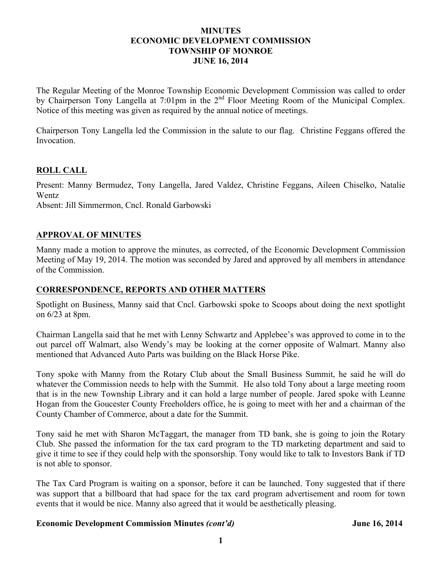#### **MINUTES ECONOMIC DEVELOPMENT COMMISSION TOWNSHIP OF MONROE JUNE 16, 2014**

The Regular Meeting of the Monroe Township Economic Development Commission was called to order by Chairperson Tony Langella at 7:01pm in the 2<sup>nd</sup> Floor Meeting Room of the Municipal Complex. Notice of this meeting was given as required by the annual notice of meetings.

Chairperson Tony Langella led the Commission in the salute to our flag. Christine Feggans offered the Invocation.

### **ROLL CALL**

Present: Manny Bermudez, Tony Langella, Jared Valdez, Christine Feggans, Aileen Chiselko, Natalie Wentz Absent: Jill Simmermon, Cncl. Ronald Garbowski

### **APPROVAL OF MINUTES**

Manny made a motion to approve the minutes, as corrected, of the Economic Development Commission Meeting of May 19, 2014. The motion was seconded by Jared and approved by all members in attendance of the Commission.

## **CORRESPONDENCE, REPORTS AND OTHER MATTERS**

Spotlight on Business, Manny said that Cncl. Garbowski spoke to Scoops about doing the next spotlight on 6/23 at 8pm.

Chairman Langella said that he met with Lenny Schwartz and Applebee's was approved to come in to the out parcel off Walmart, also Wendy's may be looking at the corner opposite of Walmart. Manny also mentioned that Advanced Auto Parts was building on the Black Horse Pike.

Tony spoke with Manny from the Rotary Club about the Small Business Summit, he said he will do whatever the Commission needs to help with the Summit. He also told Tony about a large meeting room that is in the new Township Library and it can hold a large number of people. Jared spoke with Leanne Hogan from the Goucester County Freeholders office, he is going to meet with her and a chairman of the County Chamber of Commerce, about a date for the Summit.

Tony said he met with Sharon McTaggart, the manager from TD bank, she is going to join the Rotary Club. She passed the information for the tax card program to the TD marketing department and said to give it time to see if they could help with the sponsorship. Tony would like to talk to Investors Bank if TD is not able to sponsor.

The Tax Card Program is waiting on a sponsor, before it can be launched. Tony suggested that if there was support that a billboard that had space for the tax card program advertisement and room for town events that it would be nice. Manny also agreed that it would be aesthetically pleasing.

### **Economic Development Commission Minutes** *(cont'd)* **June 16, 2014**